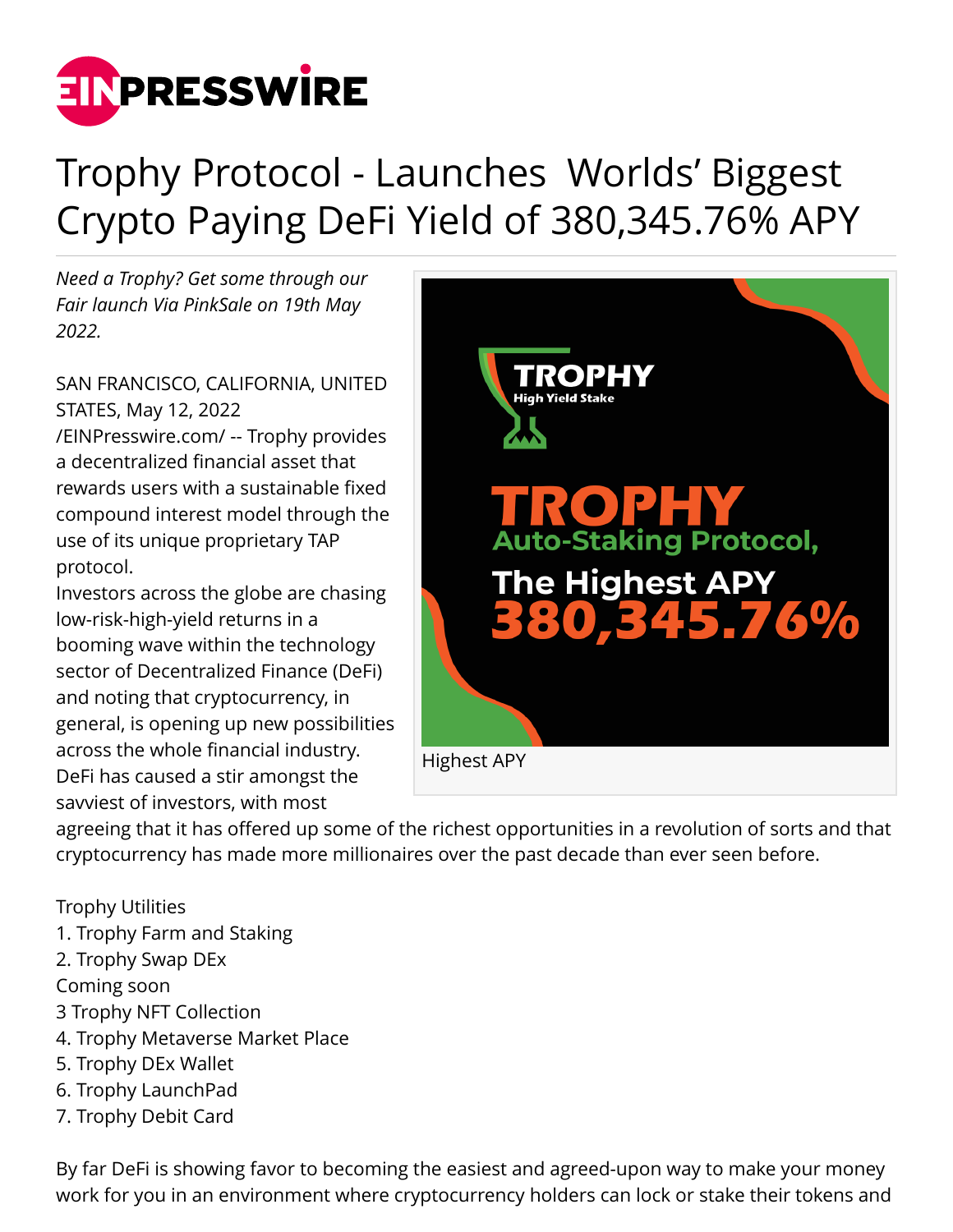

# Trophy Protocol - Launches Worlds' Biggest Crypto Paying DeFi Yield of 380,345.76% APY

*Need a Trophy? Get some through our Fair launch Via PinkSale on 19th May 2022.*

SAN FRANCISCO, CALIFORNIA, UNITED STATES, May 12, 2022

[/EINPresswire.com/](http://www.einpresswire.com) -- Trophy provides a decentralized financial asset that rewards users with a sustainable fixed compound interest model through the use of its unique proprietary TAP protocol.

Investors across the globe are chasing low-risk-high-yield returns in a booming wave within the technology sector of Decentralized Finance (DeFi) and noting that cryptocurrency, in general, is opening up new possibilities across the whole financial industry. DeFi has caused a stir amongst the savviest of investors, with most



agreeing that it has offered up some of the richest opportunities in a revolution of sorts and that cryptocurrency has made more millionaires over the past decade than ever seen before.

#### Trophy Utilities

- 1. Trophy Farm and Staking
- 2. Trophy Swap DEx
- Coming soon
- 3 Trophy NFT Collection
- 4. Trophy Metaverse Market Place
- 5. Trophy DEx Wallet
- 6. Trophy LaunchPad
- 7. Trophy Debit Card

By far DeFi is showing favor to becoming the easiest and agreed-upon way to make your money work for you in an environment where cryptocurrency holders can lock or stake their tokens and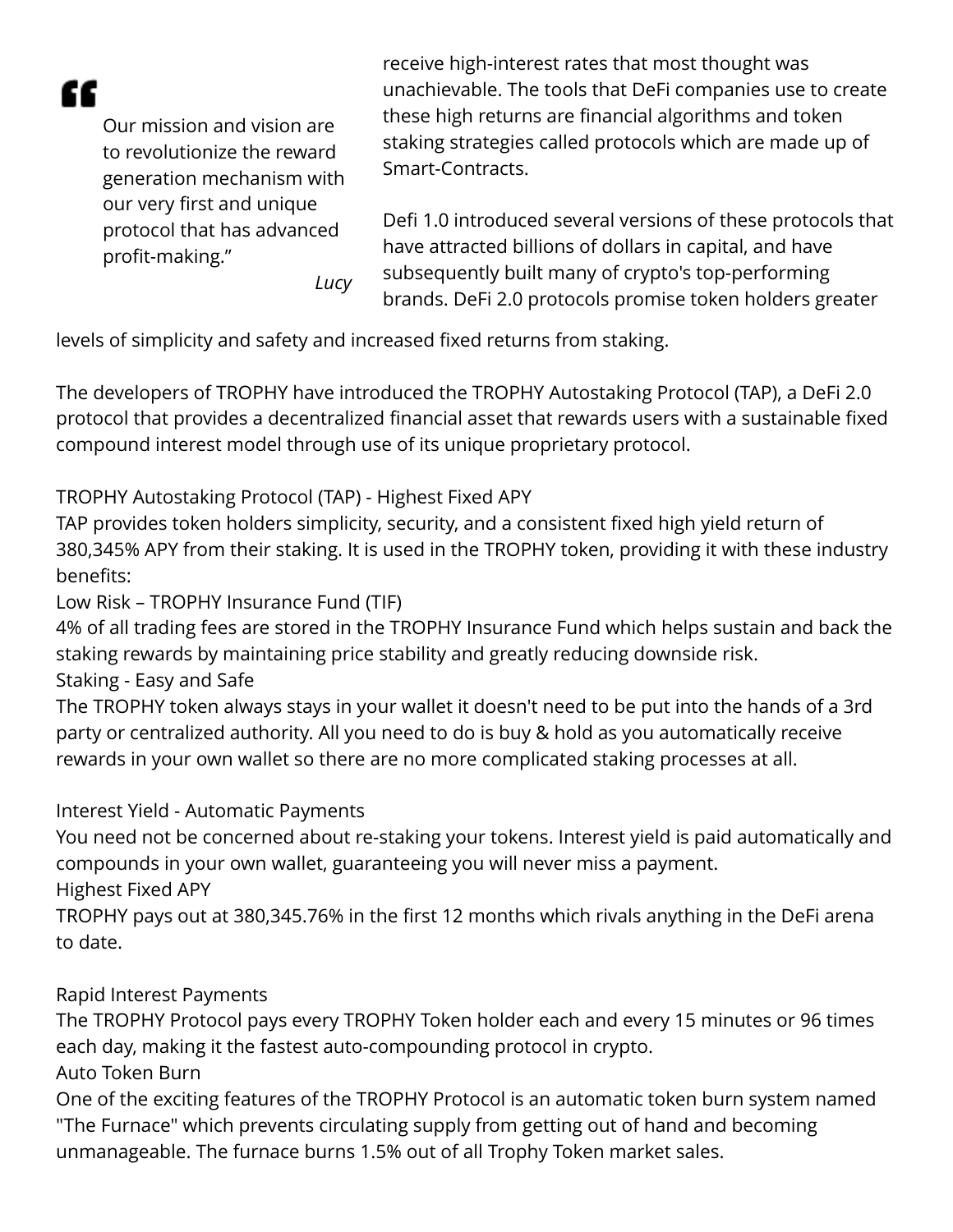"

Our mission and vision are to revolutionize the reward generation mechanism with our very first and unique protocol that has advanced profit-making."

receive high-interest rates that most thought was unachievable. The tools that DeFi companies use to create these high returns are financial algorithms and token staking strategies called protocols which are made up of Smart-Contracts.

Defi 1.0 introduced several versions of these protocols that have attracted billions of dollars in capital, and have subsequently built many of crypto's top-performing brands. DeFi 2.0 protocols promise token holders greater

levels of simplicity and safety and increased fixed returns from staking.

*Lucy*

The developers of TROPHY have introduced the TROPHY Autostaking Protocol (TAP), a DeFi 2.0 protocol that provides a decentralized financial asset that rewards users with a sustainable fixed compound interest model through use of its unique proprietary protocol.

TROPHY Autostaking Protocol (TAP) - Highest Fixed APY

TAP provides token holders simplicity, security, and a consistent fixed high yield return of 380,345% APY from their staking. It is used in the TROPHY token, providing it with these industry benefits:

Low Risk – TROPHY Insurance Fund (TIF)

4% of all trading fees are stored in the TROPHY Insurance Fund which helps sustain and back the staking rewards by maintaining price stability and greatly reducing downside risk. Staking - Easy and Safe

The TROPHY token always stays in your wallet it doesn't need to be put into the hands of a 3rd party or centralized authority. All you need to do is buy & hold as you automatically receive rewards in your own wallet so there are no more complicated staking processes at all.

## Interest Yield - Automatic Payments

You need not be concerned about re-staking your tokens. Interest yield is paid automatically and compounds in your own wallet, guaranteeing you will never miss a payment. Highest Fixed APY

TROPHY pays out at 380,345.76% in the first 12 months which rivals anything in the DeFi arena to date.

#### Rapid Interest Payments

The TROPHY Protocol pays every TROPHY Token holder each and every 15 minutes or 96 times each day, making it the fastest auto-compounding protocol in crypto.

Auto Token Burn

One of the exciting features of the TROPHY Protocol is an automatic token burn system named "The Furnace" which prevents circulating supply from getting out of hand and becoming unmanageable. The furnace burns 1.5% out of all Trophy Token market sales.